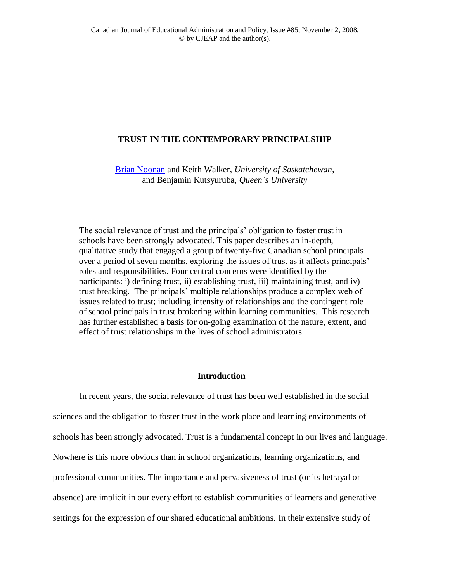# **TRUST IN THE CONTEMPORARY PRINCIPALSHIP**

[Brian Noonan](mailto:brian.noonan@usask.ca) and Keith Walker*, University of Saskatchewan,* and Benjamin Kutsyuruba*, Queen's University*

The social relevance of trust and the principals" obligation to foster trust in schools have been strongly advocated. This paper describes an in-depth, qualitative study that engaged a group of twenty-five Canadian school principals over a period of seven months, exploring the issues of trust as it affects principals" roles and responsibilities. Four central concerns were identified by the participants: i) defining trust, ii) establishing trust, iii) maintaining trust, and iv) trust breaking. The principals" multiple relationships produce a complex web of issues related to trust; including intensity of relationships and the contingent role of school principals in trust brokering within learning communities. This research has further established a basis for on-going examination of the nature, extent, and effect of trust relationships in the lives of school administrators.

# **Introduction**

In recent years, the social relevance of trust has been well established in the social sciences and the obligation to foster trust in the work place and learning environments of schools has been strongly advocated. Trust is a fundamental concept in our lives and language. Nowhere is this more obvious than in school organizations, learning organizations, and professional communities. The importance and pervasiveness of trust (or its betrayal or absence) are implicit in our every effort to establish communities of learners and generative settings for the expression of our shared educational ambitions. In their extensive study of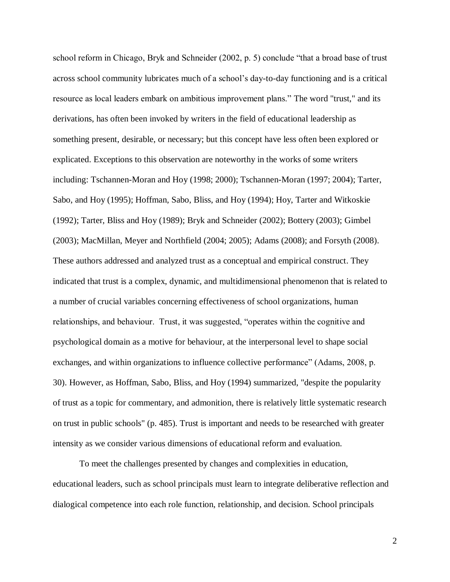school reform in Chicago, Bryk and Schneider (2002, p. 5) conclude "that a broad base of trust across school community lubricates much of a school"s day-to-day functioning and is a critical resource as local leaders embark on ambitious improvement plans." The word "trust," and its derivations, has often been invoked by writers in the field of educational leadership as something present, desirable, or necessary; but this concept have less often been explored or explicated. Exceptions to this observation are noteworthy in the works of some writers including: Tschannen-Moran and Hoy (1998; 2000); Tschannen-Moran (1997; 2004); Tarter, Sabo, and Hoy (1995); Hoffman, Sabo, Bliss, and Hoy (1994); Hoy, Tarter and Witkoskie (1992); Tarter, Bliss and Hoy (1989); Bryk and Schneider (2002); Bottery (2003); Gimbel (2003); MacMillan, Meyer and Northfield (2004; 2005); Adams (2008); and Forsyth (2008). These authors addressed and analyzed trust as a conceptual and empirical construct. They indicated that trust is a complex, dynamic, and multidimensional phenomenon that is related to a number of crucial variables concerning effectiveness of school organizations, human relationships, and behaviour. Trust, it was suggested, "operates within the cognitive and psychological domain as a motive for behaviour, at the interpersonal level to shape social exchanges, and within organizations to influence collective performance" (Adams, 2008, p. 30). However, as Hoffman, Sabo, Bliss, and Hoy (1994) summarized, "despite the popularity of trust as a topic for commentary, and admonition, there is relatively little systematic research on trust in public schools" (p. 485). Trust is important and needs to be researched with greater intensity as we consider various dimensions of educational reform and evaluation.

To meet the challenges presented by changes and complexities in education, educational leaders, such as school principals must learn to integrate deliberative reflection and dialogical competence into each role function, relationship, and decision. School principals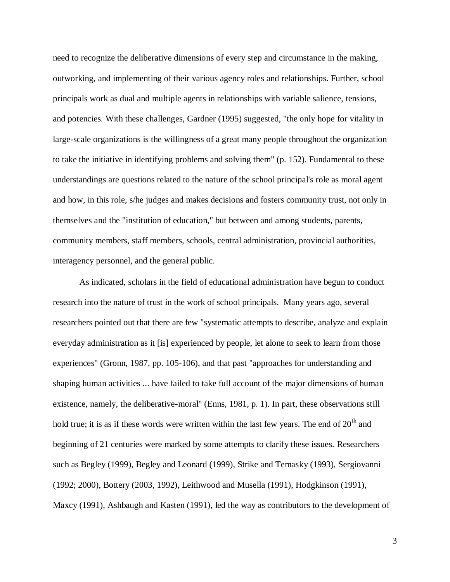need to recognize the deliberative dimensions of every step and circumstance in the making, outworking, and implementing of their various agency roles and relationships. Further, school principals work as dual and multiple agents in relationships with variable salience, tensions, and potencies. With these challenges, Gardner (1995) suggested, "the only hope for vitality in large-scale organizations is the willingness of a great many people throughout the organization to take the initiative in identifying problems and solving them" (p. 152). Fundamental to these understandings are questions related to the nature of the school principal's role as moral agent and how, in this role, s/he judges and makes decisions and fosters community trust, not only in themselves and the "institution of education," but between and among students, parents, community members, staff members, schools, central administration, provincial authorities, interagency personnel, and the general public.

As indicated, scholars in the field of educational administration have begun to conduct research into the nature of trust in the work of school principals. Many years ago, several researchers pointed out that there are few "systematic attempts to describe, analyze and explain everyday administration as it [is] experienced by people, let alone to seek to learn from those experiences" (Gronn, 1987, pp. 105-106), and that past "approaches for understanding and shaping human activities ... have failed to take full account of the major dimensions of human existence, namely, the deliberative-moral" (Enns, 1981, p. 1). In part, these observations still hold true; it is as if these words were written within the last few years. The end of  $20<sup>th</sup>$  and beginning of 21 centuries were marked by some attempts to clarify these issues. Researchers such as Begley (1999), Begley and Leonard (1999), Strike and Temasky (1993), Sergiovanni (1992; 2000), Bottery (2003, 1992), Leithwood and Musella (1991), Hodgkinson (1991), Maxcy (1991), Ashbaugh and Kasten (1991), led the way as contributors to the development of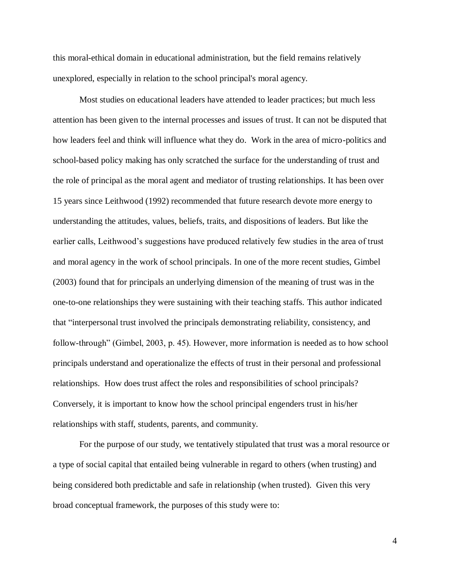this moral-ethical domain in educational administration, but the field remains relatively unexplored, especially in relation to the school principal's moral agency.

Most studies on educational leaders have attended to leader practices; but much less attention has been given to the internal processes and issues of trust. It can not be disputed that how leaders feel and think will influence what they do. Work in the area of micro-politics and school-based policy making has only scratched the surface for the understanding of trust and the role of principal as the moral agent and mediator of trusting relationships. It has been over 15 years since Leithwood (1992) recommended that future research devote more energy to understanding the attitudes, values, beliefs, traits, and dispositions of leaders. But like the earlier calls, Leithwood"s suggestions have produced relatively few studies in the area of trust and moral agency in the work of school principals. In one of the more recent studies, Gimbel (2003) found that for principals an underlying dimension of the meaning of trust was in the one-to-one relationships they were sustaining with their teaching staffs. This author indicated that "interpersonal trust involved the principals demonstrating reliability, consistency, and follow-through" (Gimbel, 2003, p. 45). However, more information is needed as to how school principals understand and operationalize the effects of trust in their personal and professional relationships. How does trust affect the roles and responsibilities of school principals? Conversely, it is important to know how the school principal engenders trust in his/her relationships with staff, students, parents, and community.

For the purpose of our study, we tentatively stipulated that trust was a moral resource or a type of social capital that entailed being vulnerable in regard to others (when trusting) and being considered both predictable and safe in relationship (when trusted). Given this very broad conceptual framework, the purposes of this study were to: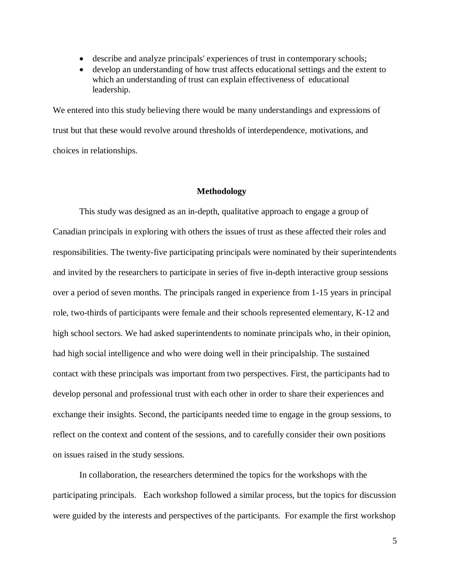- describe and analyze principals' experiences of trust in contemporary schools;
- develop an understanding of how trust affects educational settings and the extent to which an understanding of trust can explain effectiveness of educational leadership.

We entered into this study believing there would be many understandings and expressions of trust but that these would revolve around thresholds of interdependence, motivations, and choices in relationships.

#### **Methodology**

This study was designed as an in-depth, qualitative approach to engage a group of Canadian principals in exploring with others the issues of trust as these affected their roles and responsibilities. The twenty-five participating principals were nominated by their superintendents and invited by the researchers to participate in series of five in-depth interactive group sessions over a period of seven months. The principals ranged in experience from 1-15 years in principal role, two-thirds of participants were female and their schools represented elementary, K-12 and high school sectors. We had asked superintendents to nominate principals who, in their opinion, had high social intelligence and who were doing well in their principalship. The sustained contact with these principals was important from two perspectives. First, the participants had to develop personal and professional trust with each other in order to share their experiences and exchange their insights. Second, the participants needed time to engage in the group sessions, to reflect on the context and content of the sessions, and to carefully consider their own positions on issues raised in the study sessions.

In collaboration, the researchers determined the topics for the workshops with the participating principals. Each workshop followed a similar process, but the topics for discussion were guided by the interests and perspectives of the participants. For example the first workshop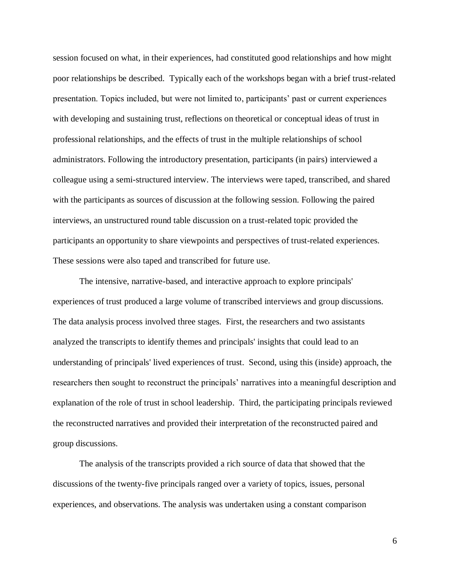session focused on what, in their experiences, had constituted good relationships and how might poor relationships be described. Typically each of the workshops began with a brief trust-related presentation. Topics included, but were not limited to, participants" past or current experiences with developing and sustaining trust, reflections on theoretical or conceptual ideas of trust in professional relationships, and the effects of trust in the multiple relationships of school administrators. Following the introductory presentation, participants (in pairs) interviewed a colleague using a semi-structured interview. The interviews were taped, transcribed, and shared with the participants as sources of discussion at the following session. Following the paired interviews, an unstructured round table discussion on a trust-related topic provided the participants an opportunity to share viewpoints and perspectives of trust-related experiences. These sessions were also taped and transcribed for future use.

The intensive, narrative-based, and interactive approach to explore principals' experiences of trust produced a large volume of transcribed interviews and group discussions. The data analysis process involved three stages. First, the researchers and two assistants analyzed the transcripts to identify themes and principals' insights that could lead to an understanding of principals' lived experiences of trust. Second, using this (inside) approach, the researchers then sought to reconstruct the principals" narratives into a meaningful description and explanation of the role of trust in school leadership. Third, the participating principals reviewed the reconstructed narratives and provided their interpretation of the reconstructed paired and group discussions.

The analysis of the transcripts provided a rich source of data that showed that the discussions of the twenty-five principals ranged over a variety of topics, issues, personal experiences, and observations. The analysis was undertaken using a constant comparison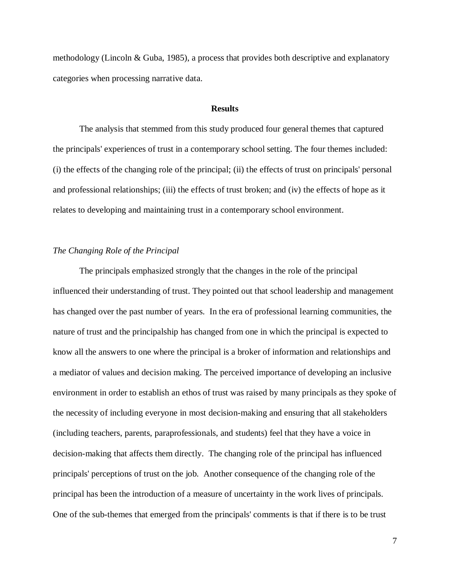methodology (Lincoln & Guba, 1985), a process that provides both descriptive and explanatory categories when processing narrative data.

## **Results**

The analysis that stemmed from this study produced four general themes that captured the principals' experiences of trust in a contemporary school setting. The four themes included: (i) the effects of the changing role of the principal; (ii) the effects of trust on principals' personal and professional relationships; (iii) the effects of trust broken; and (iv) the effects of hope as it relates to developing and maintaining trust in a contemporary school environment.

# *The Changing Role of the Principal*

The principals emphasized strongly that the changes in the role of the principal influenced their understanding of trust. They pointed out that school leadership and management has changed over the past number of years. In the era of professional learning communities, the nature of trust and the principalship has changed from one in which the principal is expected to know all the answers to one where the principal is a broker of information and relationships and a mediator of values and decision making. The perceived importance of developing an inclusive environment in order to establish an ethos of trust was raised by many principals as they spoke of the necessity of including everyone in most decision-making and ensuring that all stakeholders (including teachers, parents, paraprofessionals, and students) feel that they have a voice in decision-making that affects them directly. The changing role of the principal has influenced principals' perceptions of trust on the job. Another consequence of the changing role of the principal has been the introduction of a measure of uncertainty in the work lives of principals. One of the sub-themes that emerged from the principals' comments is that if there is to be trust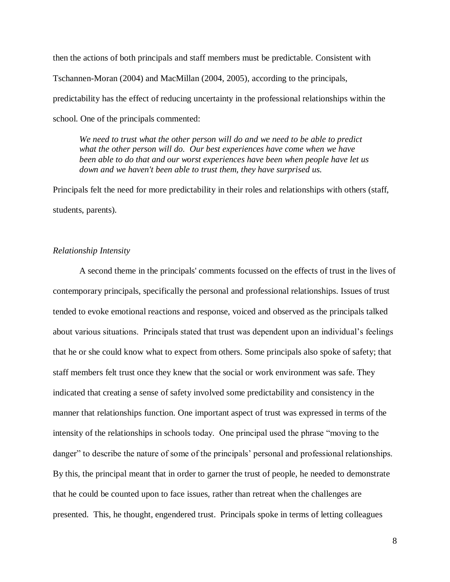then the actions of both principals and staff members must be predictable. Consistent with Tschannen-Moran (2004) and MacMillan (2004, 2005), according to the principals, predictability has the effect of reducing uncertainty in the professional relationships within the school. One of the principals commented:

*We need to trust what the other person will do and we need to be able to predict what the other person will do. Our best experiences have come when we have been able to do that and our worst experiences have been when people have let us down and we haven't been able to trust them, they have surprised us.*

Principals felt the need for more predictability in their roles and relationships with others (staff, students, parents).

#### *Relationship Intensity*

A second theme in the principals' comments focussed on the effects of trust in the lives of contemporary principals, specifically the personal and professional relationships. Issues of trust tended to evoke emotional reactions and response, voiced and observed as the principals talked about various situations. Principals stated that trust was dependent upon an individual"s feelings that he or she could know what to expect from others. Some principals also spoke of safety; that staff members felt trust once they knew that the social or work environment was safe. They indicated that creating a sense of safety involved some predictability and consistency in the manner that relationships function. One important aspect of trust was expressed in terms of the intensity of the relationships in schools today. One principal used the phrase "moving to the danger" to describe the nature of some of the principals' personal and professional relationships. By this, the principal meant that in order to garner the trust of people, he needed to demonstrate that he could be counted upon to face issues, rather than retreat when the challenges are presented. This, he thought, engendered trust. Principals spoke in terms of letting colleagues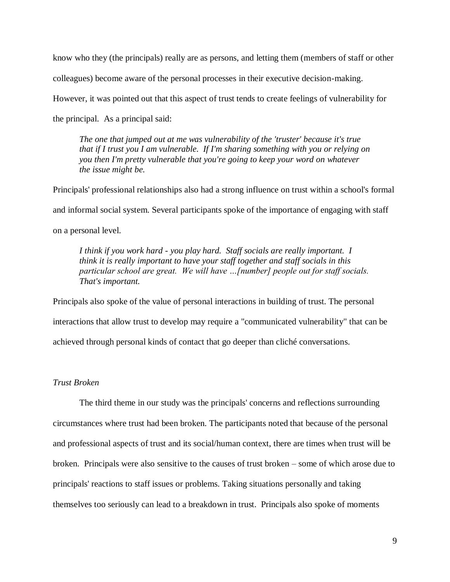know who they (the principals) really are as persons, and letting them (members of staff or other colleagues) become aware of the personal processes in their executive decision-making. However, it was pointed out that this aspect of trust tends to create feelings of vulnerability for the principal. As a principal said:

*The one that jumped out at me was vulnerability of the 'truster' because it's true that if I trust you I am vulnerable. If I'm sharing something with you or relying on you then I'm pretty vulnerable that you're going to keep your word on whatever the issue might be.* 

Principals' professional relationships also had a strong influence on trust within a school's formal and informal social system. Several participants spoke of the importance of engaging with staff on a personal level.

*I think if you work hard - you play hard. Staff socials are really important. I think it is really important to have your staff together and staff socials in this particular school are great. We will have …[number] people out for staff socials. That's important.* 

Principals also spoke of the value of personal interactions in building of trust. The personal interactions that allow trust to develop may require a "communicated vulnerability" that can be achieved through personal kinds of contact that go deeper than cliché conversations.

# *Trust Broken*

The third theme in our study was the principals' concerns and reflections surrounding circumstances where trust had been broken. The participants noted that because of the personal and professional aspects of trust and its social/human context, there are times when trust will be broken. Principals were also sensitive to the causes of trust broken – some of which arose due to principals' reactions to staff issues or problems. Taking situations personally and taking themselves too seriously can lead to a breakdown in trust. Principals also spoke of moments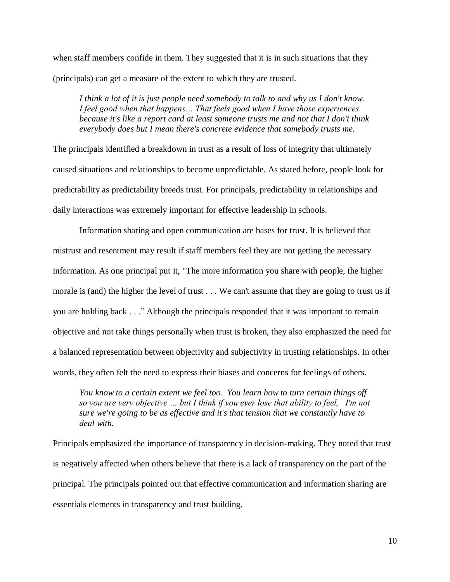when staff members confide in them. They suggested that it is in such situations that they (principals) can get a measure of the extent to which they are trusted.

*I think a lot of it is just people need somebody to talk to and why us I don't know. I feel good when that happens… That feels good when I have those experiences because it's like a report card at least someone trusts me and not that I don't think everybody does but I mean there's concrete evidence that somebody trusts me.*

The principals identified a breakdown in trust as a result of loss of integrity that ultimately caused situations and relationships to become unpredictable. As stated before, people look for predictability as predictability breeds trust. For principals, predictability in relationships and daily interactions was extremely important for effective leadership in schools.

Information sharing and open communication are bases for trust. It is believed that mistrust and resentment may result if staff members feel they are not getting the necessary information. As one principal put it, "The more information you share with people, the higher morale is (and) the higher the level of trust . . . We can't assume that they are going to trust us if you are holding back . . ." Although the principals responded that it was important to remain objective and not take things personally when trust is broken, they also emphasized the need for a balanced representation between objectivity and subjectivity in trusting relationships. In other words, they often felt the need to express their biases and concerns for feelings of others.

*You know to a certain extent we feel too. You learn how to turn certain things off so you are very objective … but I think if you ever lose that ability to feel, I'm not sure we're going to be as effective and it's that tension that we constantly have to deal with.*

Principals emphasized the importance of transparency in decision-making. They noted that trust is negatively affected when others believe that there is a lack of transparency on the part of the principal. The principals pointed out that effective communication and information sharing are essentials elements in transparency and trust building.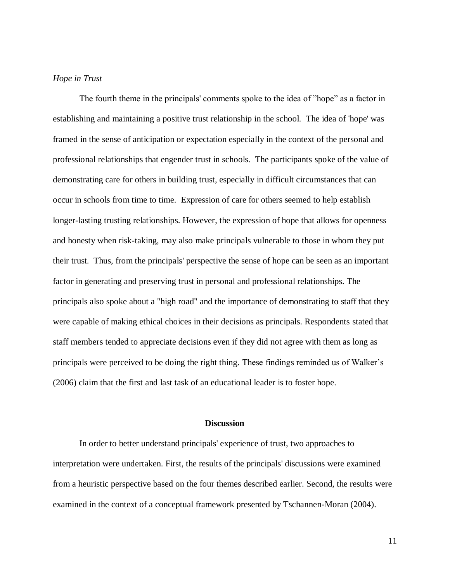# *Hope in Trust*

The fourth theme in the principals' comments spoke to the idea of "hope" as a factor in establishing and maintaining a positive trust relationship in the school. The idea of 'hope' was framed in the sense of anticipation or expectation especially in the context of the personal and professional relationships that engender trust in schools. The participants spoke of the value of demonstrating care for others in building trust, especially in difficult circumstances that can occur in schools from time to time. Expression of care for others seemed to help establish longer-lasting trusting relationships. However, the expression of hope that allows for openness and honesty when risk-taking, may also make principals vulnerable to those in whom they put their trust. Thus, from the principals' perspective the sense of hope can be seen as an important factor in generating and preserving trust in personal and professional relationships. The principals also spoke about a "high road" and the importance of demonstrating to staff that they were capable of making ethical choices in their decisions as principals. Respondents stated that staff members tended to appreciate decisions even if they did not agree with them as long as principals were perceived to be doing the right thing. These findings reminded us of Walker"s (2006) claim that the first and last task of an educational leader is to foster hope.

#### **Discussion**

In order to better understand principals' experience of trust, two approaches to interpretation were undertaken. First, the results of the principals' discussions were examined from a heuristic perspective based on the four themes described earlier. Second, the results were examined in the context of a conceptual framework presented by Tschannen-Moran (2004).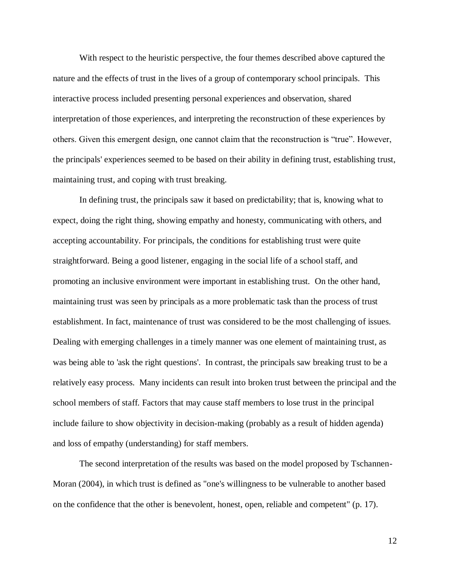With respect to the heuristic perspective, the four themes described above captured the nature and the effects of trust in the lives of a group of contemporary school principals. This interactive process included presenting personal experiences and observation, shared interpretation of those experiences, and interpreting the reconstruction of these experiences by others. Given this emergent design, one cannot claim that the reconstruction is "true". However, the principals' experiences seemed to be based on their ability in defining trust, establishing trust, maintaining trust, and coping with trust breaking.

In defining trust, the principals saw it based on predictability; that is, knowing what to expect, doing the right thing, showing empathy and honesty, communicating with others, and accepting accountability. For principals, the conditions for establishing trust were quite straightforward. Being a good listener, engaging in the social life of a school staff, and promoting an inclusive environment were important in establishing trust. On the other hand, maintaining trust was seen by principals as a more problematic task than the process of trust establishment. In fact, maintenance of trust was considered to be the most challenging of issues. Dealing with emerging challenges in a timely manner was one element of maintaining trust, as was being able to 'ask the right questions'. In contrast, the principals saw breaking trust to be a relatively easy process. Many incidents can result into broken trust between the principal and the school members of staff. Factors that may cause staff members to lose trust in the principal include failure to show objectivity in decision-making (probably as a result of hidden agenda) and loss of empathy (understanding) for staff members.

The second interpretation of the results was based on the model proposed by Tschannen-Moran (2004), in which trust is defined as "one's willingness to be vulnerable to another based on the confidence that the other is benevolent, honest, open, reliable and competent" (p. 17).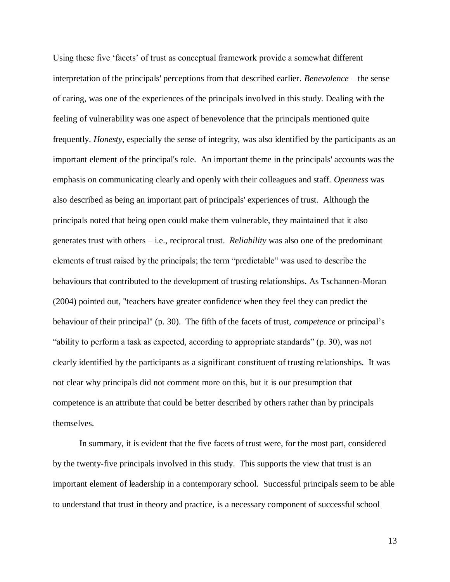Using these five "facets" of trust as conceptual framework provide a somewhat different interpretation of the principals' perceptions from that described earlier. *Benevolence* – the sense of caring, was one of the experiences of the principals involved in this study. Dealing with the feeling of vulnerability was one aspect of benevolence that the principals mentioned quite frequently. *Honesty*, especially the sense of integrity, was also identified by the participants as an important element of the principal's role. An important theme in the principals' accounts was the emphasis on communicating clearly and openly with their colleagues and staff. *Openness* was also described as being an important part of principals' experiences of trust. Although the principals noted that being open could make them vulnerable, they maintained that it also generates trust with others – i.e., reciprocal trust. *Reliability* was also one of the predominant elements of trust raised by the principals; the term "predictable" was used to describe the behaviours that contributed to the development of trusting relationships. As Tschannen-Moran (2004) pointed out, "teachers have greater confidence when they feel they can predict the behaviour of their principal" (p. 30). The fifth of the facets of trust, *competence* or principal"s "ability to perform a task as expected, according to appropriate standards" (p. 30), was not clearly identified by the participants as a significant constituent of trusting relationships. It was not clear why principals did not comment more on this, but it is our presumption that competence is an attribute that could be better described by others rather than by principals themselves.

In summary, it is evident that the five facets of trust were, for the most part, considered by the twenty-five principals involved in this study. This supports the view that trust is an important element of leadership in a contemporary school. Successful principals seem to be able to understand that trust in theory and practice, is a necessary component of successful school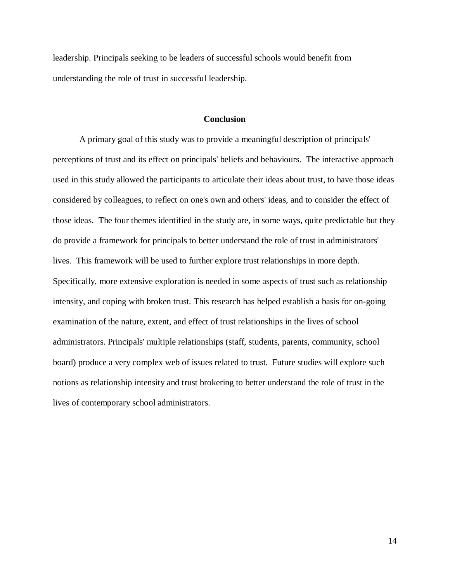leadership. Principals seeking to be leaders of successful schools would benefit from understanding the role of trust in successful leadership.

#### **Conclusion**

A primary goal of this study was to provide a meaningful description of principals' perceptions of trust and its effect on principals' beliefs and behaviours. The interactive approach used in this study allowed the participants to articulate their ideas about trust, to have those ideas considered by colleagues, to reflect on one's own and others' ideas, and to consider the effect of those ideas. The four themes identified in the study are, in some ways, quite predictable but they do provide a framework for principals to better understand the role of trust in administrators' lives. This framework will be used to further explore trust relationships in more depth. Specifically, more extensive exploration is needed in some aspects of trust such as relationship intensity, and coping with broken trust. This research has helped establish a basis for on-going examination of the nature, extent, and effect of trust relationships in the lives of school administrators. Principals' multiple relationships (staff, students, parents, community, school board) produce a very complex web of issues related to trust. Future studies will explore such notions as relationship intensity and trust brokering to better understand the role of trust in the lives of contemporary school administrators.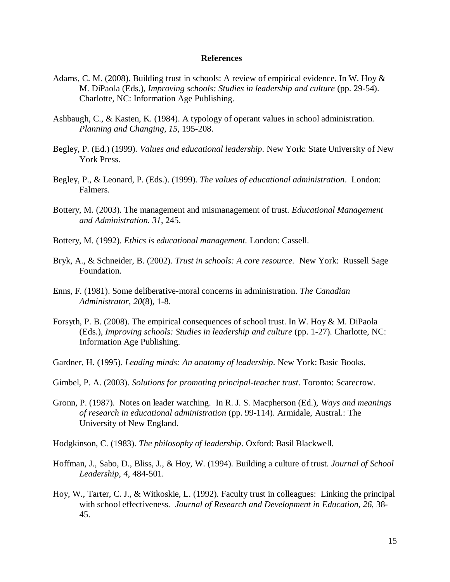#### **References**

- Adams, C. M. (2008). Building trust in schools: A review of empirical evidence. In W. Hoy & M. DiPaola (Eds.), *Improving schools: Studies in leadership and culture* (pp. 29-54). Charlotte, NC: Information Age Publishing.
- Ashbaugh, C., & Kasten, K. (1984). A typology of operant values in school administration. *Planning and Changing*, *15*, 195-208.
- Begley, P. (Ed.) (1999). *Values and educational leadership*. New York: State University of New York Press.
- Begley, P., & Leonard, P. (Eds.). (1999). *The values of educational administration*. London: Falmers.
- Bottery, M. (2003). The management and mismanagement of trust. *Educational Management and Administration. 31*, 245.
- Bottery, M. (1992). *Ethics is educational management.* London: Cassell.
- Bryk, A., & Schneider, B. (2002). *Trust in schools: A core resource.* New York: Russell Sage Foundation.
- Enns, F. (1981). Some deliberative-moral concerns in administration. *The Canadian Administrator*, *20*(8), 1-8.
- Forsyth, P. B. (2008). The empirical consequences of school trust. In W. Hoy & M. DiPaola (Eds.), *Improving schools: Studies in leadership and culture* (pp. 1-27). Charlotte, NC: Information Age Publishing.
- Gardner, H. (1995). *Leading minds: An anatomy of leadership*. New York: Basic Books.
- Gimbel, P. A. (2003). *Solutions for promoting principal-teacher trust*. Toronto: Scarecrow.
- Gronn, P. (1987). Notes on leader watching. In R. J. S. Macpherson (Ed.), *Ways and meanings of research in educational administration* (pp. 99-114). Armidale, Austral.: The University of New England.
- Hodgkinson, C. (1983). *The philosophy of leadership*. Oxford: Basil Blackwell.
- Hoffman, J., Sabo, D., Bliss, J., & Hoy, W. (1994). Building a culture of trust. *Journal of School Leadership*, *4*, 484-501.
- Hoy, W., Tarter, C. J., & Witkoskie, L. (1992). Faculty trust in colleagues: Linking the principal with school effectiveness. *Journal of Research and Development in Education*, *26*, 38- 45.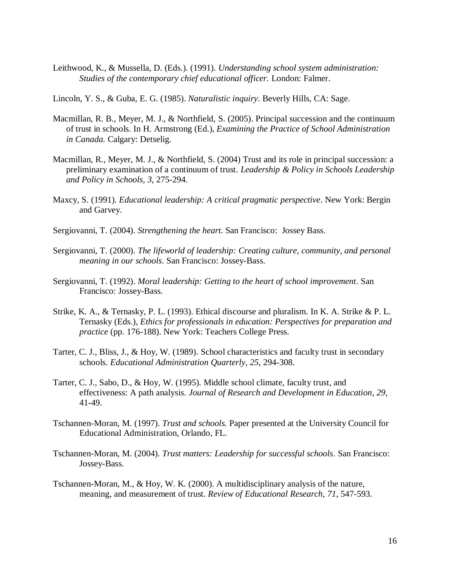- Leithwood, K., & Mussella, D. (Eds.). (1991). *Understanding school system administration: Studies of the contemporary chief educational officer.* London: Falmer.
- Lincoln, Y. S., & Guba, E. G. (1985). *Naturalistic inquiry*. Beverly Hills, CA: Sage.
- Macmillan, R. B., Meyer, M. J., & Northfield, S. (2005). Principal succession and the continuum of trust in schools. In H. Armstrong (Ed.), *Examining the Practice of School Administration in Canada.* Calgary: Detselig.
- Macmillan, R., Meyer, M. J., & Northfield, S. (2004) Trust and its role in principal succession: a preliminary examination of a continuum of trust. *Leadership & Policy in Schools Leadership and Policy in Schools, 3*, 275-294.
- Maxcy, S. (1991). *Educational leadership: A critical pragmatic perspective*. New York: Bergin and Garvey.
- Sergiovanni, T. (2004). *Strengthening the heart.* San Francisco: Jossey Bass.
- Sergiovanni, T. (2000). *The lifeworld of leadership: Creating culture, community, and personal meaning in our schools*. San Francisco: Jossey-Bass.
- Sergiovanni, T. (1992). *Moral leadership: Getting to the heart of school improvement*. San Francisco: Jossey-Bass.
- Strike, K. A., & Ternasky, P. L. (1993). Ethical discourse and pluralism. In K. A. Strike & P. L. Ternasky (Eds.), *Ethics for professionals in education: Perspectives for preparation and practice* (pp. 176-188). New York: Teachers College Press.
- Tarter, C. J., Bliss, J., & Hoy, W. (1989). School characteristics and faculty trust in secondary schools. *Educational Administration Quarterly*, *25*, 294-308.
- Tarter, C. J., Sabo, D., & Hoy, W. (1995). Middle school climate, faculty trust, and effectiveness: A path analysis. *Journal of Research and Development in Education*, *29*, 41-49.
- Tschannen-Moran, M. (1997). *Trust and schools.* Paper presented at the University Council for Educational Administration, Orlando, FL.
- Tschannen-Moran, M. (2004). *Trust matters: Leadership for successful schools*. San Francisco: Jossey-Bass.
- Tschannen-Moran, M., & Hoy, W. K. (2000). A multidisciplinary analysis of the nature, meaning, and measurement of trust. *Review of Educational Research, 71*, 547-593.